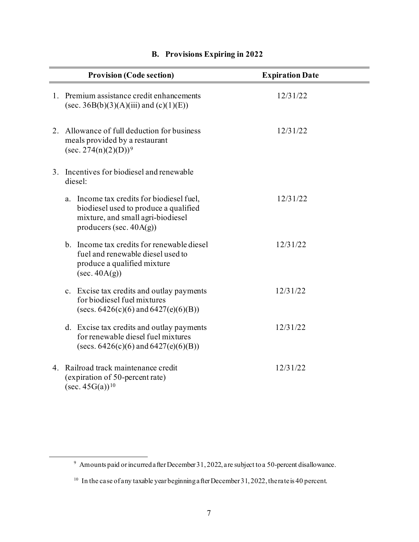| <b>Provision (Code section)</b>                                                                                                                          | <b>Expiration Date</b> |
|----------------------------------------------------------------------------------------------------------------------------------------------------------|------------------------|
| 1. Premium assistance credit enhancements<br>(sec. 36B(b)(3)(A)(iii) and (c)(1)(E))                                                                      | 12/31/22               |
| 2. Allowance of full deduction for business<br>meals provided by a restaurant<br>$(\sec. 274(n)(2)(D))^9$                                                | 12/31/22               |
| 3. Incentives for biodiesel and renewable<br>diesel:                                                                                                     |                        |
| Income tax credits for biodiesel fuel,<br>a.<br>biodiesel used to produce a qualified<br>mixture, and small agri-biodiesel<br>producers (sec. $40A(g)$ ) | 12/31/22               |
| b. Income tax credits for renewable diesel<br>fuel and renewable diesel used to<br>produce a qualified mixture<br>$(\sec. 40A(g))$                       | 12/31/22               |
| c. Excise tax credits and outlay payments<br>for biodiesel fuel mixtures<br>(secs. $6426(c)(6)$ and $6427(e)(6)(B)$ )                                    | 12/31/22               |
| d. Excise tax credits and outlay payments<br>for renewable diesel fuel mixtures<br>(secs. $6426(c)(6)$ and $6427(e)(6)(B)$ )                             | 12/31/22               |
| 4. Railroad track maintenance credit<br>(expiration of 50-percent rate)<br>$(\sec. 45G(a))^{10}$                                                         | 12/31/22               |

## **B. Provisions Expiring in 2022**

 $9$  Amounts paid or incurred after December 31, 2022, are subject to a 50-percent disallowance.

<sup>&</sup>lt;sup>10</sup> In the case of any taxable year beginning after December 31, 2022, the rate is 40 percent.